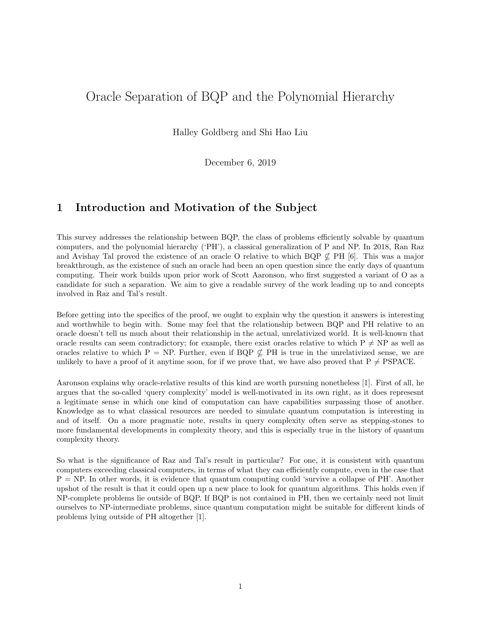# Oracle Separation of BQP and the Polynomial Hierarchy

Halley Goldberg and Shi Hao Liu

December 6, 2019

## 1 Introduction and Motivation of the Subject

This survey addresses the relationship between BQP, the class of problems efficiently solvable by quantum computers, and the polynomial hierarchy ('PH'), a classical generalization of P and NP. In 2018, Ran Raz and Avishay Tal proved the existence of an oracle O relative to which BQP  $\not\subset$  PH [6]. This was a major breakthrough, as the existence of such an oracle had been an open question since the early days of quantum computing. Their work builds upon prior work of Scott Aaronson, who first suggested a variant of O as a candidate for such a separation. We aim to give a readable survey of the work leading up to and concepts involved in Raz and Tal's result.

Before getting into the specifics of the proof, we ought to explain why the question it answers is interesting and worthwhile to begin with. Some may feel that the relationship between BQP and PH relative to an oracle doesn't tell us much about their relationship in the actual, unrelativized world. It is well-known that oracle results can seem contradictory; for example, there exist oracles relative to which  $P \neq NP$  as well as oracles relative to which P = NP. Further, even if BQP  $\nsubseteq$  PH is true in the unrelativized sense, we are unlikely to have a proof of it anytime soon, for if we prove that, we have also proved that  $P \neq PSPACE$ .

Aaronson explains why oracle-relative results of this kind are worth pursuing nonetheless [1]. First of all, he argues that the so-called 'query complexity' model is well-motivated in its own right, as it does represesnt a legitimate sense in which one kind of computation can have capabilities surpassing those of another. Knowledge as to what classical resources are needed to simulate quantum computation is interesting in and of itself. On a more pragmatic note, results in query complexity often serve as stepping-stones to more fundamental developments in complexity theory, and this is especially true in the history of quantum complexity theory.

So what is the significance of Raz and Tal's result in particular? For one, it is consistent with quantum computers exceeding classical computers, in terms of what they can efficiently compute, even in the case that  $P = NP$ . In other words, it is evidence that quantum computing could 'survive a collapse of PH'. Another upshot of the result is that it could open up a new place to look for quantum algorithms. This holds even if NP-complete problems lie outside of BQP. If BQP is not contained in PH, then we certainly need not limit ourselves to NP-intermediate problems, since quantum computation might be suitable for different kinds of problems lying outside of PH altogether [1].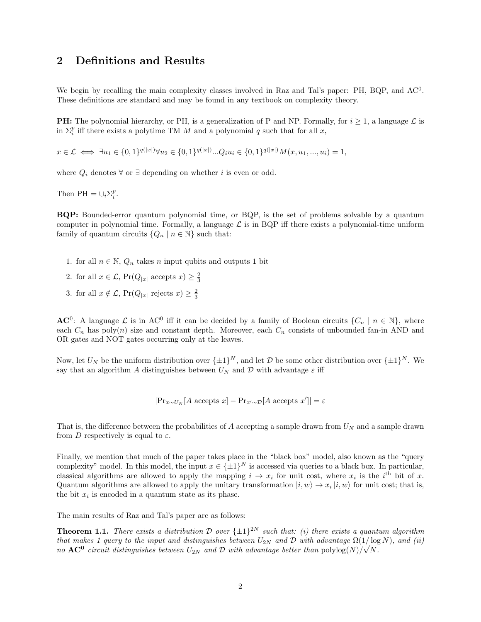### 2 Definitions and Results

We begin by recalling the main complexity classes involved in Raz and Tal's paper: PH, BQP, and AC<sup>0</sup>. These definitions are standard and may be found in any textbook on complexity theory.

**PH:** The polynomial hierarchy, or PH, is a generalization of P and NP. Formally, for  $i \geq 1$ , a language  $\mathcal{L}$  is in  $\Sigma_i^p$  iff there exists a polytime TM M and a polynomial q such that for all x,

 $x \in \mathcal{L} \iff \exists u_1 \in \{0, 1\}^{q(|x|)} \forall u_2 \in \{0, 1\}^{q(|x|)} \dots Q_i u_i \in \{0, 1\}^{q(|x|)} M(x, u_1, \dots, u_i) = 1,$ 

where  $Q_i$  denotes  $\forall$  or  $\exists$  depending on whether i is even or odd.

Then PH =  $\cup_i \Sigma_i^p$ .

BQP: Bounded-error quantum polynomial time, or BQP, is the set of problems solvable by a quantum computer in polynomial time. Formally, a language  $\mathcal L$  is in BQP iff there exists a polynomial-time uniform family of quantum circuits  $\{Q_n \mid n \in \mathbb{N}\}\$  such that:

- 1. for all  $n \in \mathbb{N}$ ,  $Q_n$  takes n input qubits and outputs 1 bit
- 2. for all  $x \in \mathcal{L}$ ,  $Pr(Q_{|x|} \text{ accepts } x) \geq \frac{2}{3}$
- 3. for all  $x \notin \mathcal{L}$ , Pr $(Q_{|x|}$  rejects  $x) \geq \frac{2}{3}$

**AC<sup>0</sup>**: A language  $\mathcal{L}$  is in AC<sup>0</sup> iff it can be decided by a family of Boolean circuits  $\{C_n \mid n \in \mathbb{N}\}\$ , where each  $C_n$  has poly(n) size and constant depth. Moreover, each  $C_n$  consists of unbounded fan-in AND and OR gates and NOT gates occurring only at the leaves.

Now, let  $U_N$  be the uniform distribution over  $\{\pm 1\}^N$ , and let  $\mathcal D$  be some other distribution over  $\{\pm 1\}^N$ . We say that an algorithm  $A$  distinguishes between  $U_N$  and  $\mathcal D$  with advantage  $\varepsilon$  iff

$$
|\Pr_{x \sim U_N}[A \text{ accepts } x] - \Pr_{x' \sim D}[A \text{ accepts } x']| = \varepsilon
$$

That is, the difference between the probabilities of A accepting a sample drawn from  $U_N$  and a sample drawn from D respectively is equal to  $\varepsilon$ .

Finally, we mention that much of the paper takes place in the "black box" model, also known as the "query complexity" model. In this model, the input  $x \in \{\pm 1\}^N$  is accessed via queries to a black box. In particular, classical algorithms are allowed to apply the mapping  $i \to x_i$  for unit cost, where  $x_i$  is the i<sup>th</sup> bit of x. Quantum algorithms are allowed to apply the unitary transformation  $|i, w \rangle \rightarrow x_i |i, w\rangle$  for unit cost; that is, the bit  $x_i$  is encoded in a quantum state as its phase.

The main results of Raz and Tal's paper are as follows:

**Theorem 1.1.** There exists a distribution D over  $\{\pm 1\}^{2N}$  such that: (i) there exists a quantum algorithm that makes 1 query to the input and distinguishes between  $U_{2N}$  and  $\mathcal D$  with advantage  $\Omega(1/\log N)$ , and (ii) no  $AC^0$  circuit distinguishes between  $U_{2N}$  and  $\mathcal D$  with advantage better than  $\mathrm{polylog}(N)/\sqrt{N}$ .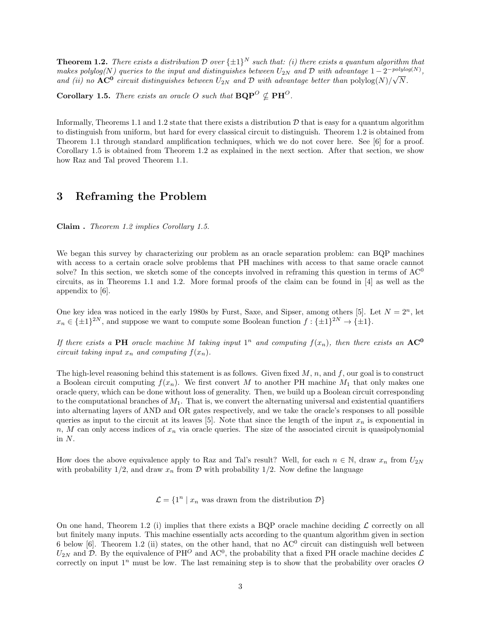**Theorem 1.2.** There exists a distribution D over  $\{\pm 1\}^N$  such that: (i) there exists a quantum algorithm that makes polylog(N) queries to the input and distinguishes between  $U_{2N}$  and D with advantage  $1-2^{-polylog(N)}$ , and (ii) no **AC<sup>0</sup>** circuit distinguishes between  $U_{2N}$  and  $D$  with advantage better than  $\text{polylog}(N)/\sqrt{N}$ .

**Corollary 1.5.** There exists an oracle O such that  $BQP^O \nsubseteq PH^O$ .

Informally, Theorems 1.1 and 1.2 state that there exists a distribution  $D$  that is easy for a quantum algorithm to distinguish from uniform, but hard for every classical circuit to distinguish. Theorem 1.2 is obtained from Theorem 1.1 through standard amplification techniques, which we do not cover here. See [6] for a proof. Corollary 1.5 is obtained from Theorem 1.2 as explained in the next section. After that section, we show how Raz and Tal proved Theorem 1.1.

### 3 Reframing the Problem

Claim . Theorem 1.2 implies Corollary 1.5.

We began this survey by characterizing our problem as an oracle separation problem: can BQP machines with access to a certain oracle solve problems that PH machines with access to that same oracle cannot solve? In this section, we sketch some of the concepts involved in reframing this question in terms of  $AC<sup>0</sup>$ circuits, as in Theorems 1.1 and 1.2. More formal proofs of the claim can be found in [4] as well as the appendix to [6].

One key idea was noticed in the early 1980s by Furst, Saxe, and Sipser, among others [5]. Let  $N = 2<sup>n</sup>$ , let  $x_n \in {\pm 1}^{2N}$ , and suppose we want to compute some Boolean function  $f: {\pm 1}^{2N} \to {\pm 1}$ .

If there exists a PH oracle machine M taking input  $1^n$  and computing  $f(x_n)$ , then there exists an  $AC^0$ circuit taking input  $x_n$  and computing  $f(x_n)$ .

The high-level reasoning behind this statement is as follows. Given fixed  $M$ ,  $n$ , and  $f$ , our goal is to construct a Boolean circuit computing  $f(x_n)$ . We first convert M to another PH machine  $M_1$  that only makes one oracle query, which can be done without loss of generality. Then, we build up a Boolean circuit corresponding to the computational branches of  $M_1$ . That is, we convert the alternating universal and existential quantifiers into alternating layers of AND and OR gates respectively, and we take the oracle's responses to all possible queries as input to the circuit at its leaves [5]. Note that since the length of the input  $x_n$  is exponential in  $n, M$  can only access indices of  $x_n$  via oracle queries. The size of the associated circuit is quasipolynomial in N.

How does the above equivalence apply to Raz and Tal's result? Well, for each  $n \in \mathbb{N}$ , draw  $x_n$  from  $U_{2N}$ with probability  $1/2$ , and draw  $x_n$  from  $\mathcal D$  with probability  $1/2$ . Now define the language

 $\mathcal{L} = \{1^n \mid x_n \text{ was drawn from the distribution } \mathcal{D}\}\$ 

On one hand, Theorem 1.2 (i) implies that there exists a BQP oracle machine deciding  $\mathcal L$  correctly on all but finitely many inputs. This machine essentially acts according to the quantum algorithm given in section 6 below  $[6]$ . Theorem 1.2 (ii) states, on the other hand, that no  $AC^0$  circuit can distinguish well between  $U_{2N}$  and  $D$ . By the equivalence of PH<sup>O</sup> and AC<sup>0</sup>, the probability that a fixed PH oracle machine decides  $\mathcal{L}$ correctly on input  $1^n$  must be low. The last remaining step is to show that the probability over oracles O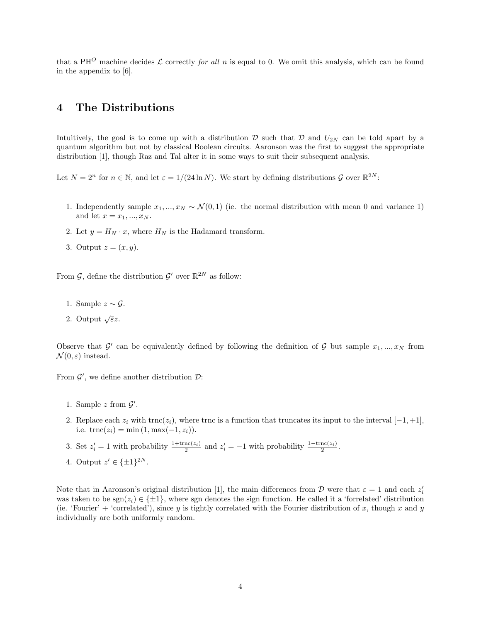that a PH<sup>O</sup> machine decides  $\mathcal L$  correctly for all n is equal to 0. We omit this analysis, which can be found in the appendix to [6].

### 4 The Distributions

Intuitively, the goal is to come up with a distribution  $\mathcal D$  such that  $\mathcal D$  and  $U_{2N}$  can be told apart by a quantum algorithm but not by classical Boolean circuits. Aaronson was the first to suggest the appropriate distribution [1], though Raz and Tal alter it in some ways to suit their subsequent analysis.

Let  $N = 2^n$  for  $n \in \mathbb{N}$ , and let  $\varepsilon = 1/(24 \ln N)$ . We start by defining distributions  $\mathcal G$  over  $\mathbb{R}^{2N}$ :

- 1. Independently sample  $x_1, ..., x_N \sim \mathcal{N}(0, 1)$  (ie. the normal distribution with mean 0 and variance 1) and let  $x = x_1, ..., x_N$ .
- 2. Let  $y = H_N \cdot x$ , where  $H_N$  is the Hadamard transform.
- 3. Output  $z=(x, y)$ .

From  $\mathcal{G}$ , define the distribution  $\mathcal{G}'$  over  $\mathbb{R}^{2N}$  as follow:

- 1. Sample  $z \sim \mathcal{G}$ .
- 2. Output  $\sqrt{\varepsilon}z$ .

Observe that G' can be equivalently defined by following the definition of G but sample  $x_1, ..., x_N$  from  $\mathcal{N}(0,\varepsilon)$  instead.

From  $\mathcal{G}'$ , we define another distribution  $\mathcal{D}$ :

- 1. Sample  $z$  from  $\mathcal{G}'$ .
- 2. Replace each  $z_i$  with  $\text{trnc}(z_i)$ , where trnc is a function that truncates its input to the interval  $[-1, +1]$ , i.e.  $\text{trnc}(z_i) = \min(1, \max(-1, z_i)).$
- 3. Set  $z_i' = 1$  with probability  $\frac{1+\text{trnc}(z_i)}{2}$  and  $z_i' = -1$  with probability  $\frac{1-\text{trnc}(z_i)}{2}$ .
- 4. Output  $z' \in \{\pm 1\}^{2N}$ .

Note that in Aaronson's original distribution [1], the main differences from  $D$  were that  $\varepsilon = 1$  and each  $z_i'$ was taken to be  $sgn(z_i) \in \{\pm 1\}$ , where sgn denotes the sign function. He called it a 'forrelated' distribution (ie. 'Fourier' + 'correlated'), since y is tightly correlated with the Fourier distribution of x, though x and y individually are both uniformly random.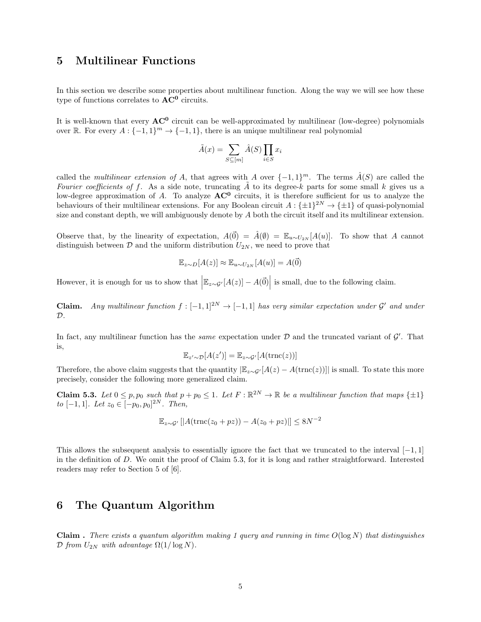### 5 Multilinear Functions

In this section we describe some properties about multilinear function. Along the way we will see how these type of functions correlates to  $AC^0$  circuits.

It is well-known that every  $AC^0$  circuit can be well-approximated by multilinear (low-degree) polynomials over R. For every  $A: \{-1,1\}^m \to \{-1,1\}$ , there is an unique multilinear real polynomial

$$
\tilde{A}(x) = \sum_{S \subseteq [m]} \hat{A}(S) \prod_{i \in S} x_i
$$

called the *multilinear extension of A*, that agrees with A over  $\{-1,1\}^m$ . The terms  $\hat{A}(S)$  are called the Fourier coefficients of f. As a side note, truncating  $\tilde{A}$  to its degree-k parts for some small k gives us a low-degree approximation of A. To analyze  $AC^0$  circuits, it is therefore sufficient for us to analyze the behaviours of their multilinear extensions. For any Boolean circuit  $A: \{\pm 1\}^{2N} \to \{\pm 1\}$  of quasi-polynomial size and constant depth, we will ambiguously denote by A both the circuit itself and its multilinear extension.

Observe that, by the linearity of expectation,  $A(\vec{0}) = \hat{A}(\emptyset) = \mathbb{E}_{u \sim U_{2N}}[A(u)]$ . To show that A cannot distinguish between  $\mathcal D$  and the uniform distribution  $U_{2N}$ , we need to prove that

$$
\mathbb{E}_{z \sim D}[A(z)] \approx \mathbb{E}_{u \sim U_{2N}}[A(u)] = A(\vec{0})
$$

However, it is enough for us to show that  $\left| \mathbb{E}_{z \sim \mathcal{G}'}[A(z)] - A(\vec{0}) \right|$  is small, due to the following claim.

**Claim.** Any multilinear function  $f: [-1,1]^{2N} \to [-1,1]$  has very similar expectation under  $\mathcal{G}'$  and under  $\mathcal{D}$ .

In fact, any multilinear function has the *same* expectation under  $D$  and the truncated variant of  $\mathcal{G}'$ . That is,

$$
\mathbb{E}_{z' \sim \mathcal{D}}[A(z')] = \mathbb{E}_{z \sim \mathcal{G}'}[A(\text{trnc}(z))]
$$

Therefore, the above claim suggests that the quantity  $\left|\mathbb{E}_{z\sim\mathcal{G}'}[A(z)-A(\text{trnc}(z))]\right|$  is small. To state this more precisely, consider the following more generalized claim.

**Claim 5.3.** Let  $0 \leq p, p_0$  such that  $p + p_0 \leq 1$ . Let  $F : \mathbb{R}^{2N} \to \mathbb{R}$  be a multilinear function that maps  $\{\pm 1\}$ to [-1, 1]. Let  $z_0 \in [-p_0, p_0]^{2N}$ . Then,

$$
\mathbb{E}_{z \sim \mathcal{G}'}\left[|A(\text{trnc}(z_0 + pz)) - A(z_0 + pz)|\right] \leq 8N^{-2}
$$

This allows the subsequent analysis to essentially ignore the fact that we truncated to the interval  $[-1, 1]$ in the definition of D. We omit the proof of Claim 5.3, for it is long and rather straightforward. Interested readers may refer to Section 5 of [6].

### 6 The Quantum Algorithm

**Claim** . There exists a quantum algorithm making 1 query and running in time  $O(\log N)$  that distinguishes D from  $U_{2N}$  with advantage  $\Omega(1/\log N)$ .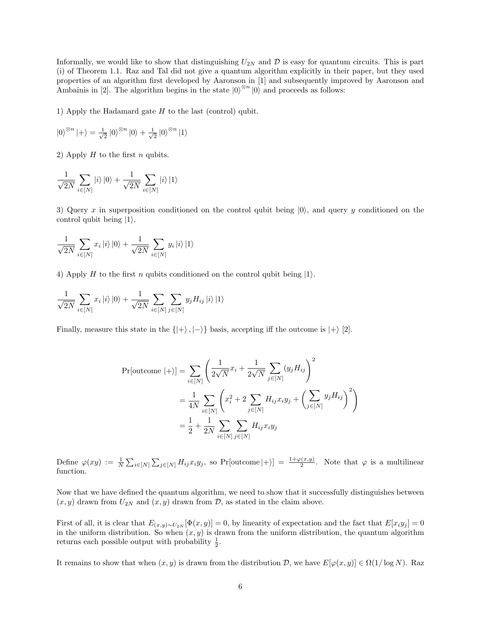Informally, we would like to show that distinguishing  $U_{2N}$  and  $\mathcal D$  is easy for quantum circuits. This is part (i) of Theorem 1.1. Raz and Tal did not give a quantum algorithm explicitly in their paper, but they used properties of an algorithm first developed by Aaronson in [1] and subsequently improved by Aaronson and Ambainis in [2]. The algorithm begins in the state  $|0\rangle^{\otimes n}|0\rangle$  and proceeds as follows:

1) Apply the Hadamard gate  $H$  to the last (control) qubit.

$$
\left| 0 \right\rangle ^{\otimes n} \left| + \right\rangle = \tfrac{1}{{\sqrt 2 }}\left| 0 \right\rangle ^{\otimes n} \left| 0 \right\rangle + \tfrac{1}{{\sqrt 2 }}\left| 0 \right\rangle ^{\otimes n} \left| 1 \right\rangle
$$

2) Apply  $H$  to the first  $n$  qubits.

$$
\frac{1}{\sqrt{2N}}\sum_{i\in[N]}|i\rangle\ket{0}+\frac{1}{\sqrt{2N}}\sum_{i\in[N]}|i\rangle\ket{1}
$$

3) Query x in superposition conditioned on the control qubit being  $|0\rangle$ , and query y conditioned on the control qubit being  $|1\rangle$ .

$$
\frac{1}{\sqrt{2N}}\sum_{i\in[N]}x_i\ket{i}\ket{0}+\frac{1}{\sqrt{2N}}\sum_{i\in[N]}y_i\ket{i}\ket{1}
$$

4) Apply H to the first n qubits conditioned on the control qubit being  $|1\rangle$ .

$$
\frac{1}{\sqrt{2N}}\sum_{i\in[N]}x_i\ket{i}\ket{0} + \frac{1}{\sqrt{2N}}\sum_{i\in[N]}\sum_{j\in[N]}y_jH_{ij}\ket{i}\ket{1}
$$

Finally, measure this state in the  $\{|\rangle, |\rangle\}$  basis, accepting iff the outcome is  $|\rangle$  [2].

$$
\Pr[\text{outcome } |+] = \sum_{i \in [N]} \left( \frac{1}{2\sqrt{N}} x_i + \frac{1}{2\sqrt{N}} \sum_{j \in [N]} (y_j H_{ij}) \right)^2
$$
  
= 
$$
\frac{1}{4N} \sum_{i \in [N]} \left( x_i^2 + 2 \sum_{j \in [N]} H_{ij} x_i y_j + \left( \sum_{j \in [N]} y_j H_{ij} \right)^2 \right)
$$
  
= 
$$
\frac{1}{2} + \frac{1}{2N} \sum_{i \in [N]} \sum_{j \in [N]} H_{ij} x_i y_j
$$

Define  $\varphi(xy) := \frac{1}{N} \sum_{i \in [N]} \sum_{j \in [N]} H_{ij} x_i y_j$ , so Pr[outcome  $|+\rangle$ ] =  $\frac{1+\varphi(x,y)}{2}$ . Note that  $\varphi$  is a multilinear function.

Now that we have defined the quantum algorithm, we need to show that it successfully distinguishes between  $(x, y)$  drawn from  $U_{2N}$  and  $(x, y)$  drawn from  $\mathcal{D}$ , as stated in the claim above.

First of all, it is clear that  $E_{(x,y)\sim U_{2N}}[\Phi(x,y)] = 0$ , by linearity of expectation and the fact that  $E[x_i y_j] = 0$ in the uniform distribution. So when  $(x, y)$  is drawn from the uniform distribution, the quantum algorithm returns each possible output with probability  $\frac{1}{2}$ .

It remains to show that when  $(x, y)$  is drawn from the distribution D, we have  $E[\varphi(x, y)] \in \Omega(1/\log N)$ . Raz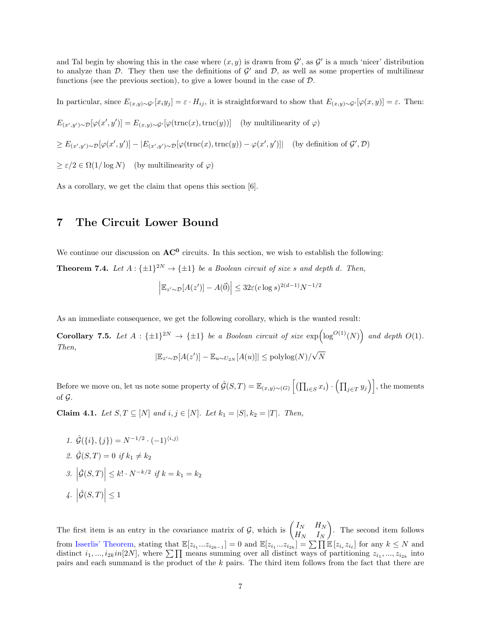and Tal begin by showing this in the case where  $(x, y)$  is drawn from  $\mathcal{G}'$ , as  $\mathcal{G}'$  is a much 'nicer' distribution to analyze than  $D$ . They then use the definitions of  $\mathcal{G}'$  and  $\mathcal{D}$ , as well as some properties of multilinear functions (see the previous section), to give a lower bound in the case of D.

In particular, since  $E_{(x,y)\sim\mathcal{G}'}[x_iy_j]=\varepsilon\cdot H_{ij}$ , it is straightforward to show that  $E_{(x,y)\sim\mathcal{G}'}[\varphi(x,y)]=\varepsilon$ . Then:  $E_{(x',y')\sim\mathcal{D}}[\varphi(x',y')] = E_{(x,y)\sim\mathcal{G}'}[\varphi(\text{trnc}(x),\text{trnc}(y))]$  (by multilinearity of  $\varphi$ )  $\geq E_{(x',y')\sim\mathcal{D}}[\varphi(x',y')] - |E_{(x',y')\sim\mathcal{D}}[\varphi(\text{trnc}(x),\text{trnc}(y)) - \varphi(x',y')]$  (by definition of  $\mathcal{G}',\mathcal{D}$ )  $\geq \varepsilon/2 \in \Omega(1/\log N)$  (by multilinearity of  $\varphi$ )

As a corollary, we get the claim that opens this section [6].

#### 7 The Circuit Lower Bound

We continue our discussion on  $AC^0$  circuits. In this section, we wish to establish the following: **Theorem 7.4.** Let  $A: \{\pm 1\}^{2N} \rightarrow \{\pm 1\}$  be a Boolean circuit of size s and depth d. Then,

$$
\left| \mathbb{E}_{z' \sim \mathcal{D}}[A(z')] - A(\vec{0}) \right| \leq 32\varepsilon (c \log s)^{2(d-1)} N^{-1/2}
$$

As an immediate consequence, we get the following corollary, which is the wanted result:

**Corollary 7.5.** Let  $A : {\pm 1}^{2N} \to {\pm 1}$  be a Boolean circuit of size  $\exp(\log^{O(1)}(N))$  and depth  $O(1)$ . Then,  $|\mathbb{E}_{z'\sim\mathcal{D}}[A(z')] - \mathbb{E}_{u\sim U_{2N}}[A(u)]| \leq \text{polylog}(N)/\sqrt{N}$ N

Before we move on, let us note some property of  $\hat{\mathcal{G}}(S,T) = \mathbb{E}_{(x,y)\sim(G)}\left[\left(\prod_{i\in S}x_i\right)\cdot \left(\prod_{j\in T}y_j\right)\right]$ , the moments of  $\mathcal G$ .

**Claim 4.1.** Let S,  $T \subseteq [N]$  and  $i, j \in [N]$ . Let  $k_1 = |S|, k_2 = |T|$ . Then,

1.  $\hat{\mathcal{G}}(\{i\},\{j\}) = N^{-1/2} \cdot (-1)^{\langle i,j \rangle}$ 2.  $\hat{G}(S,T) = 0$  if  $k_1 \neq k_2$ 3.  $|\hat{\mathcal{G}}(S,T)| \leq k! \cdot N^{-k/2}$  if  $k = k_1 = k_2$ 4.  $\left|\hat{\mathcal{G}}(S,T)\right| \leq 1$ 

The first item is an entry in the covariance matrix of  $\mathcal{G}$ , which is  $\begin{pmatrix} I_N & H_N \\ H_N & I \end{pmatrix}$  $H_N$   $I_N$  . The second item follows from [Isserlis' Theorem,](https://en.wikipedia.org/wiki/Isserlis) stating that  $\mathbb{E}[z_{i_1}...z_{i_{2k-1}}] = 0$  and  $\mathbb{E}[z_{i_1}...z_{i_{2k}}] = \sum \prod \mathbb{E}[z_{i_r}z_{i_\ell}]$  for any  $k \leq N$  and distinct  $i_1, ..., i_{2k}$  in  $[2N]$ , where  $\sum \prod$  means summing over all distinct ways of partitioning  $z_{i_1}, ..., z_{i_{2k}}$  into pairs and each summand is the product of the k pairs. The third item follows from the fact that there are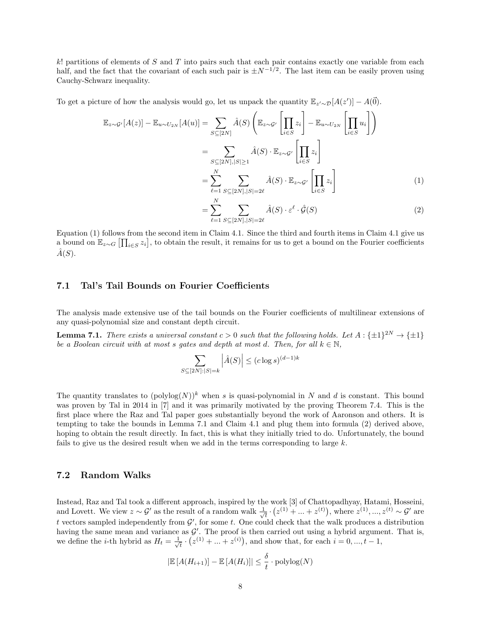k! partitions of elements of S and T into pairs such that each pair contains exactly one variable from each half, and the fact that the covariant of each such pair is  $\pm N^{-1/2}$ . The last item can be easily proven using Cauchy-Schwarz inequality.

To get a picture of how the analysis would go, let us unpack the quantity  $\mathbb{E}_{z'\sim\mathcal{D}}[A(z')] - A(\vec{0})$ .

$$
\mathbb{E}_{z \sim \mathcal{G}'}[A(z)] - \mathbb{E}_{u \sim U_{2N}}[A(u)] = \sum_{S \subseteq [2N]} \hat{A}(S) \left( \mathbb{E}_{z \sim \mathcal{G}'} \left[ \prod_{i \in S} z_i \right] - \mathbb{E}_{u \sim U_{2N}} \left[ \prod_{i \in S} u_i \right] \right)
$$

$$
= \sum_{S \subseteq [2N], |S| \ge 1} \hat{A}(S) \cdot \mathbb{E}_{z \sim \mathcal{G}'} \left[ \prod_{i \in S} z_i \right]
$$

$$
= \sum_{\ell=1}^N \sum_{S \subseteq [2N], |S| = 2\ell} \hat{A}(S) \cdot \mathbb{E}_{z \sim \mathcal{G}'} \left[ \prod_{i \in S} z_i \right]
$$
(1)

$$
=\sum_{\ell=1}^{N}\sum_{S\subseteq[2N],|S|=2\ell}\hat{A}(S)\cdot\varepsilon^{\ell}\cdot\hat{\mathcal{G}}(S)\tag{2}
$$

Equation (1) follows from the second item in Claim 4.1. Since the third and fourth items in Claim 4.1 give us a bound on  $\mathbb{E}_{z\sim G} \left[\prod_{i\in S} z_i\right]$ , to obtain the result, it remains for us to get a bound on the Fourier coefficients  $\hat{A}(S)$ .

#### 7.1 Tal's Tail Bounds on Fourier Coefficients

The analysis made extensive use of the tail bounds on the Fourier coefficients of multilinear extensions of any quasi-polynomial size and constant depth circuit.

**Lemma 7.1.** There exists a universal constant  $c > 0$  such that the following holds. Let  $A : \{\pm 1\}^{2N} \to \{\pm 1\}$ be a Boolean circuit with at most s gates and depth at most d. Then, for all  $k \in \mathbb{N}$ ,

$$
\sum_{S \subseteq [2N]:|S|=k} \left| \hat{A}(S) \right| \le (c \log s)^{(d-1)k}
$$

The quantity translates to  $(\text{polylog}(N))^k$  when s is quasi-polynomial in N and d is constant. This bound was proven by Tal in 2014 in [7] and it was primarily motivated by the proving Theorem 7.4. This is the first place where the Raz and Tal paper goes substantially beyond the work of Aaronson and others. It is tempting to take the bounds in Lemma 7.1 and Claim 4.1 and plug them into formula (2) derived above, hoping to obtain the result directly. In fact, this is what they initially tried to do. Unfortunately, the bound fails to give us the desired result when we add in the terms corresponding to large  $k$ .

#### 7.2 Random Walks

Instead, Raz and Tal took a different approach, inspired by the work [3] of Chattopadhyay, Hatami, Hosseini, and Lovett. We view  $z \sim \mathcal{G}'$  as the result of a random walk  $\frac{1}{\sqrt{2}}$  $\frac{1}{t} \cdot (z^{(1)} + \dots + z^{(t)}),$  where  $z^{(1)}, \dots, z^{(t)} \sim \mathcal{G}'$  are t vectors sampled independently from  $\mathcal{G}'$ , for some t. One could check that the walk produces a distribution having the same mean and variance as  $\mathcal{G}'$ . The proof is then carried out using a hybrid argument. That is, we define the *i*-th hybrid as  $H_t = \frac{1}{\sqrt{2}}$  $\overline{t} \cdot (z^{(1)} + \dots + z^{(i)}),$  and show that, for each  $i = 0, ..., t - 1,$ 

$$
|\mathbb{E}[A(H_{i+1})] - \mathbb{E}[A(H_i)]| \leq \frac{\delta}{t} \cdot \mathrm{polylog}(N)
$$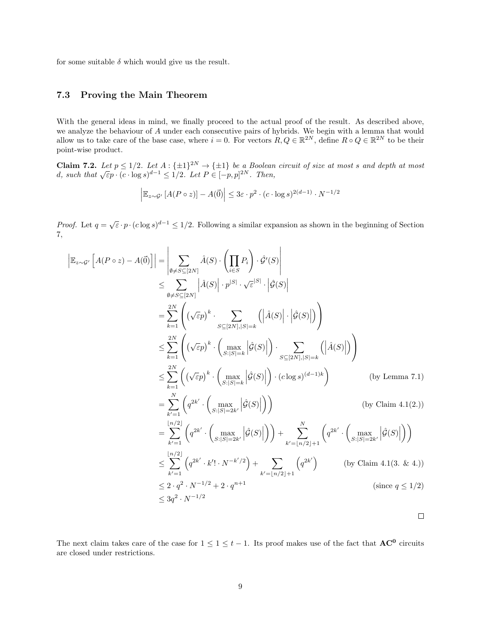for some suitable  $\delta$  which would give us the result.

#### 7.3 Proving the Main Theorem

With the general ideas in mind, we finally proceed to the actual proof of the result. As described above, we analyze the behaviour of A under each consecutive pairs of hybrids. We begin with a lemma that would allow us to take care of the base case, where  $i = 0$ . For vectors  $R, Q \in \mathbb{R}^{2N}$ , define  $R \circ Q \in \mathbb{R}^{2N}$  to be their point-wise product.

Claim 7.2. Let  $p \le 1/2$ . Let  $A: \{\pm 1\}^{2N} \rightarrow \{\pm 1\}$  be a Boolean circuit of size at most s and depth at most d, such that  $\sqrt{\epsilon}p \cdot (c \cdot \log s)^{d-1} \le 1/2$ . Let  $P \in [-p, p]^{2N}$ . Then,

$$
\left| \mathbb{E}_{z \sim \mathcal{G}'} \left[ A(P \circ z) \right] - A(\vec{0}) \right| \leq 3\varepsilon \cdot p^2 \cdot (c \cdot \log s)^{2(d-1)} \cdot N^{-1/2}
$$

*Proof.* Let  $q = \sqrt{\varepsilon} \cdot p \cdot (c \log s)^{d-1} \leq 1/2$ . Following a similar expansion as shown in the beginning of Section 7,

$$
\begin{split}\n\left| \mathbb{E}_{z \sim \mathcal{G}'} \left[ A(P \circ z) - A(\vec{0}) \right] \right| &= \left| \sum_{\emptyset \neq S \subseteq [2N]} \hat{A}(S) \cdot \left( \prod_{i \in S} P_i \right) \cdot \hat{\mathcal{G}}'(S) \right| \\
&\leq \sum_{\emptyset \neq S \subseteq [2N]} \left| \hat{A}(S) \right| \cdot p^{|S|} \cdot \sqrt{\varepsilon}^{|S|} \cdot \left| \hat{\mathcal{G}}(S) \right| \\
&= \sum_{k=1}^{2N} \left( \left( \sqrt{\varepsilon} p \right)^k \cdot \sum_{S \subseteq [2N], |S| = k} \left( \left| \hat{A}(S) \right| \cdot \left| \hat{\mathcal{G}}(S) \right| \right) \right) \\
&\leq \sum_{k=1}^{2N} \left( \left( \sqrt{\varepsilon} p \right)^k \cdot \left( \max_{S : |S| = k} \left| \hat{\mathcal{G}}(S) \right| \right) \cdot \sum_{S \subseteq [2N], |S| = k} \left( \left| \hat{A}(S) \right| \right) \right) \\
&\leq \sum_{k=1}^{2N} \left( \left( \sqrt{\varepsilon} p \right)^k \cdot \left( \max_{S : |S| = k} \left| \hat{\mathcal{G}}(S) \right| \right) \cdot \left( c \log s \right)^{(d-1)k} \right) \qquad \text{(by Lemma 7.1)} \\
&= \sum_{k'=1}^{N} \left( q^{2k'} \cdot \left( \max_{S : |S| = 2k'} \left| \hat{\mathcal{G}}(S) \right| \right) \right) \\
&= \sum_{k'=1}^{\lfloor n/2 \rfloor} \left( q^{2k'} \cdot \left( \max_{S : |S| = 2k'} \left| \hat{\mathcal{G}}(S) \right| \right) \right) + \sum_{k' = \lfloor n/2 \rfloor + 1} \left( q^{2k'} \cdot \left( \max_{S : |S| = 2k'} \left| \hat{\mathcal{G}}(S) \right| \right) \right) \\
&\leq \sum_{k'=1}^{\lfloor n/2 \rfloor} \left( q^{2k'} \cdot k' \cdot N^{-k'/2} \right) + \sum_{k' = \lfloor n/2 \rfloor +
$$

 $\Box$ 

The next claim takes care of the case for  $1 \leq t-1$ . Its proof makes use of the fact that  $AC^0$  circuits are closed under restrictions.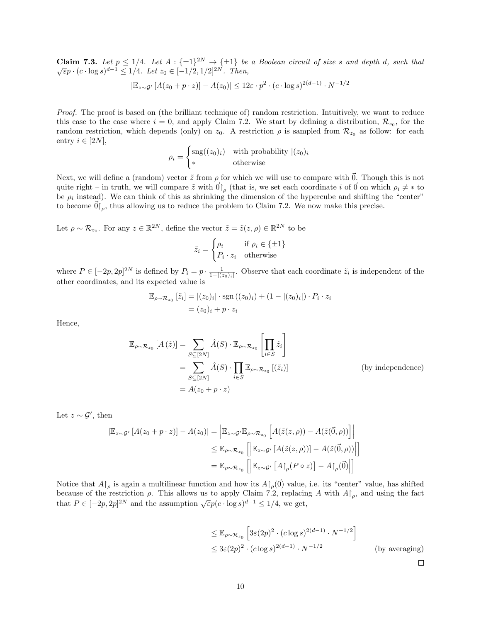**Claim 7.3.** Let  $p \leq 1/4$ . Let  $A : \{\pm 1\}^{2N} \rightarrow \{\pm 1\}$  be a Boolean circuit of size s and depth d, such that  $\sqrt{\varepsilon}p \cdot (c \cdot \log s)^{d-1} \leq 1/4$ . Let  $z_0 \in [-1/2, 1/2]^{2N}$ . Then,

$$
|\mathbb{E}_{z \sim \mathcal{G}'} \left[ A(z_0 + p \cdot z) \right] - A(z_0)| \leq 12\varepsilon \cdot p^2 \cdot (c \cdot \log s)^{2(d-1)} \cdot N^{-1/2}
$$

Proof. The proof is based on (the brilliant technique of) random restriction. Intuitively, we want to reduce this case to the case where  $i = 0$ , and apply Claim 7.2. We start by defining a distribution,  $\mathcal{R}_{z_0}$ , for the random restriction, which depends (only) on  $z_0$ . A restriction  $\rho$  is sampled from  $\mathcal{R}_{z_0}$  as follow: for each entry  $i \in [2N],$ 

$$
\rho_i = \begin{cases} \text{sng}((z_0)_i) & \text{with probability } |(z_0)_i| \\ \ast & \text{otherwise} \end{cases}
$$

Next, we will define a (random) vector  $\tilde{z}$  from  $\rho$  for which we will use to compare with  $\vec{0}$ . Though this is not quite right – in truth, we will compare  $\tilde{z}$  with  $\vec{0}\vert_{\rho}$  (that is, we set each coordinate i of  $\vec{0}$  on which  $\rho_i \neq *$  to be  $\rho_i$  instead). We can think of this as shrinking the dimension of the hypercube and shifting the "center" to become  $\vec{0}\vert_{\rho}$ , thus allowing us to reduce the problem to Claim 7.2. We now make this precise.

Let  $\rho \sim \mathcal{R}_{z_0}$ . For any  $z \in \mathbb{R}^{2N}$ , define the vector  $\tilde{z} = \tilde{z}(z, \rho) \in \mathbb{R}^{2N}$  to be

$$
\tilde{z}_i = \begin{cases} \rho_i & \text{if } \rho_i \in \{\pm 1\} \\ P_i \cdot z_i & \text{otherwise} \end{cases}
$$

where  $P \in [-2p, 2p]^{2N}$  is defined by  $P_i = p \cdot \frac{1}{1-|(z_0)_i|}$ . Observe that each coordinate  $\tilde{z}_i$  is independent of the other coordinates, and its expected value is

$$
\mathbb{E}_{\rho \sim \mathcal{R}_{z_0}} [\tilde{z}_i] = |(z_0)_i| \cdot \text{sgn} ((z_0)_i) + (1 - |(z_0)_i|) \cdot P_i \cdot z_i
$$
  
=  $(z_0)_i + p \cdot z_i$ 

Hence,

$$
\mathbb{E}_{\rho \sim \mathcal{R}_{z_0}} [A(\tilde{z})] = \sum_{S \subseteq [2N]} \hat{A}(S) \cdot \mathbb{E}_{\rho \sim \mathcal{R}_{z_0}} \left[ \prod_{i \in S} \tilde{z}_i \right]
$$
  
\n
$$
= \sum_{S \subseteq [2N]} \hat{A}(S) \cdot \prod_{i \in S} \mathbb{E}_{\rho \sim \mathcal{R}_{z_0}} [(\tilde{z}_i)]
$$
 (by independence)  
\n
$$
= A(z_0 + p \cdot z)
$$

Let  $z \sim \mathcal{G}'$ , then

$$
|\mathbb{E}_{z \sim \mathcal{G}'} [A(z_0 + p \cdot z)] - A(z_0)| = \left| \mathbb{E}_{z \sim \mathcal{G}'} \mathbb{E}_{\rho \sim \mathcal{R}_{z_0}} \left[ A(\tilde{z}(z, \rho)) - A(\tilde{z}(\vec{0}, \rho)) \right] \right|
$$
  

$$
\leq \mathbb{E}_{\rho \sim \mathcal{R}_{z_0}} \left[ \left| \mathbb{E}_{z \sim \mathcal{G}'} [A(\tilde{z}(z, \rho))] - A(\tilde{z}(\vec{0}, \rho)) \right| \right]
$$
  

$$
= \mathbb{E}_{\rho \sim \mathcal{R}_{z_0}} \left[ \left| \mathbb{E}_{z \sim \mathcal{G}'} [A \upharpoonright_{\rho} (P \circ z)] - A \upharpoonright_{\rho} (\vec{0}) \right| \right]
$$

Notice that  $A\upharpoonright_{\rho}$  is again a multilinear function and how its  $A\upharpoonright_{\rho}(\vec{0})$  value, i.e. its "center" value, has shifted because of the restriction  $\rho$ . This allows us to apply Claim 7.2, replacing A with  $A|_{\rho}$ , and using the fact that  $P \in [-2p, 2p]^{2N}$  and the assumption  $\sqrt{\varepsilon p} (c \cdot \log s)^{d-1} \le 1/4$ , we get,

$$
\leq \mathbb{E}_{\rho \sim \mathcal{R}_{z_0}} \left[ 3\varepsilon (2p)^2 \cdot (c \log s)^{2(d-1)} \cdot N^{-1/2} \right]
$$
  

$$
\leq 3\varepsilon (2p)^2 \cdot (c \log s)^{2(d-1)} \cdot N^{-1/2}
$$
 (by averaging)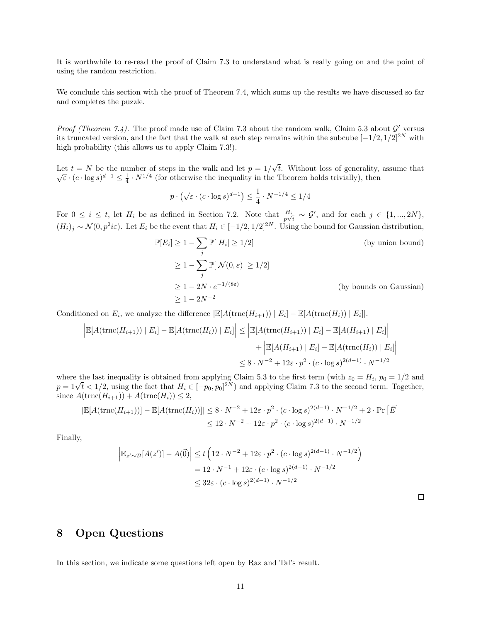It is worthwhile to re-read the proof of Claim 7.3 to understand what is really going on and the point of using the random restriction.

We conclude this section with the proof of Theorem 7.4, which sums up the results we have discussed so far and completes the puzzle.

Proof (Theorem 7.4). The proof made use of Claim 7.3 about the random walk, Claim 5.3 about  $\mathcal{G}'$  versus its truncated version, and the fact that the walk at each step remains within the subcube  $[-1/2, 1/2]^{2N}$  with high probability (this allows us to apply Claim 7.3!).

Let  $t = N$  be the number of steps in the walk and let  $p = 1/2$ √ t. Without loss of generality, assume that Let  $t = N$  be the number of steps in the walk and let  $p = 1/\sqrt{t}$ . Without loss of generality,<br> $\sqrt{\epsilon} \cdot (c \cdot \log s)^{d-1} \leq \frac{1}{4} \cdot N^{1/4}$  (for otherwise the inequality in the Theorem holds trivially), then

$$
p \cdot \left(\sqrt{\varepsilon} \cdot (c \cdot \log s)^{d-1}\right) \le \frac{1}{4} \cdot N^{-1/4} \le 1/4
$$

For  $0 \leq i \leq t$ , let  $H_i$  be as defined in Section 7.2. Note that  $\frac{H_i}{p\sqrt{i}} \sim \mathcal{G}'$ , and for each  $j \in \{1, ..., 2N\}$ ,  $(H_i)_j \sim \mathcal{N}(0, p^2 i \varepsilon)$ . Let  $E_i$  be the event that  $H_i \in [-1/2, 1/2]^{2N}$ . Using the bound for Gaussian distribution,

$$
\mathbb{P}[E_i] \ge 1 - \sum_j \mathbb{P}[|H_i| \ge 1/2]
$$
 (by union bound)  
\n
$$
\ge 1 - \sum_j \mathbb{P}[|\mathcal{N}(0,\varepsilon)| \ge 1/2]
$$
  
\n
$$
\ge 1 - 2N \cdot e^{-1/(8\varepsilon)}
$$
 (by bounds on Gaussian)  
\n
$$
\ge 1 - 2N^{-2}
$$

Conditioned on  $E_i$ , we analyze the difference  $\left| \mathbb{E}[A(\text{trnc}(H_{i+1})) | E_i] - \mathbb{E}[A(\text{trnc}(H_i)) | E_i] \right|$ .

$$
\left| \mathbb{E}[A(\text{trnc}(H_{i+1})) | E_i] - \mathbb{E}[A(\text{trnc}(H_i)) | E_i] \right| \le \left| \mathbb{E}[A(\text{trnc}(H_{i+1})) | E_i] - \mathbb{E}[A(H_{i+1}) | E_i] \right| + \left| \mathbb{E}[A(H_{i+1}) | E_i] - \mathbb{E}[A(\text{trnc}(H_i)) | E_i] \right|
$$
  

$$
\le 8 \cdot N^{-2} + 12\varepsilon \cdot p^2 \cdot (c \cdot \log s)^{2(d-1)} \cdot N^{-1/2}
$$

where the last inequality is obtained from applying Claim 5.3 to the first term (with  $z_0 = H_i$ ,  $p_0 = 1/2$  and  $p = 1\sqrt{t} < 1/2$ , using the fact that  $H_i \in [-p_0, p_0]^{2N}$  and applying Claim 7.3 to the second term. Together, since  $A(\text{trnc}(H_{i+1})) + A(\text{trnc}(H_i)) \leq 2$ ,

$$
|\mathbb{E}[A(\text{trnc}(H_{i+1}))] - \mathbb{E}[A(\text{trnc}(H_i))]|\leq 8 \cdot N^{-2} + 12\varepsilon \cdot p^2 \cdot (c \cdot \log s)^{2(d-1)} \cdot N^{-1/2} + 2 \cdot \Pr[\bar{E}]
$$
  

$$
\leq 12 \cdot N^{-2} + 12\varepsilon \cdot p^2 \cdot (c \cdot \log s)^{2(d-1)} \cdot N^{-1/2}
$$

Finally,

$$
\left| \mathbb{E}_{z' \sim \mathcal{D}}[A(z')] - A(\vec{0}) \right| \le t \left( 12 \cdot N^{-2} + 12\varepsilon \cdot p^2 \cdot (c \cdot \log s)^{2(d-1)} \cdot N^{-1/2} \right)
$$
  
= 12 \cdot N^{-1} + 12\varepsilon \cdot (c \cdot \log s)^{2(d-1)} \cdot N^{-1/2}  

$$
\le 32\varepsilon \cdot (c \cdot \log s)^{2(d-1)} \cdot N^{-1/2}
$$

# 8 Open Questions

In this section, we indicate some questions left open by Raz and Tal's result.